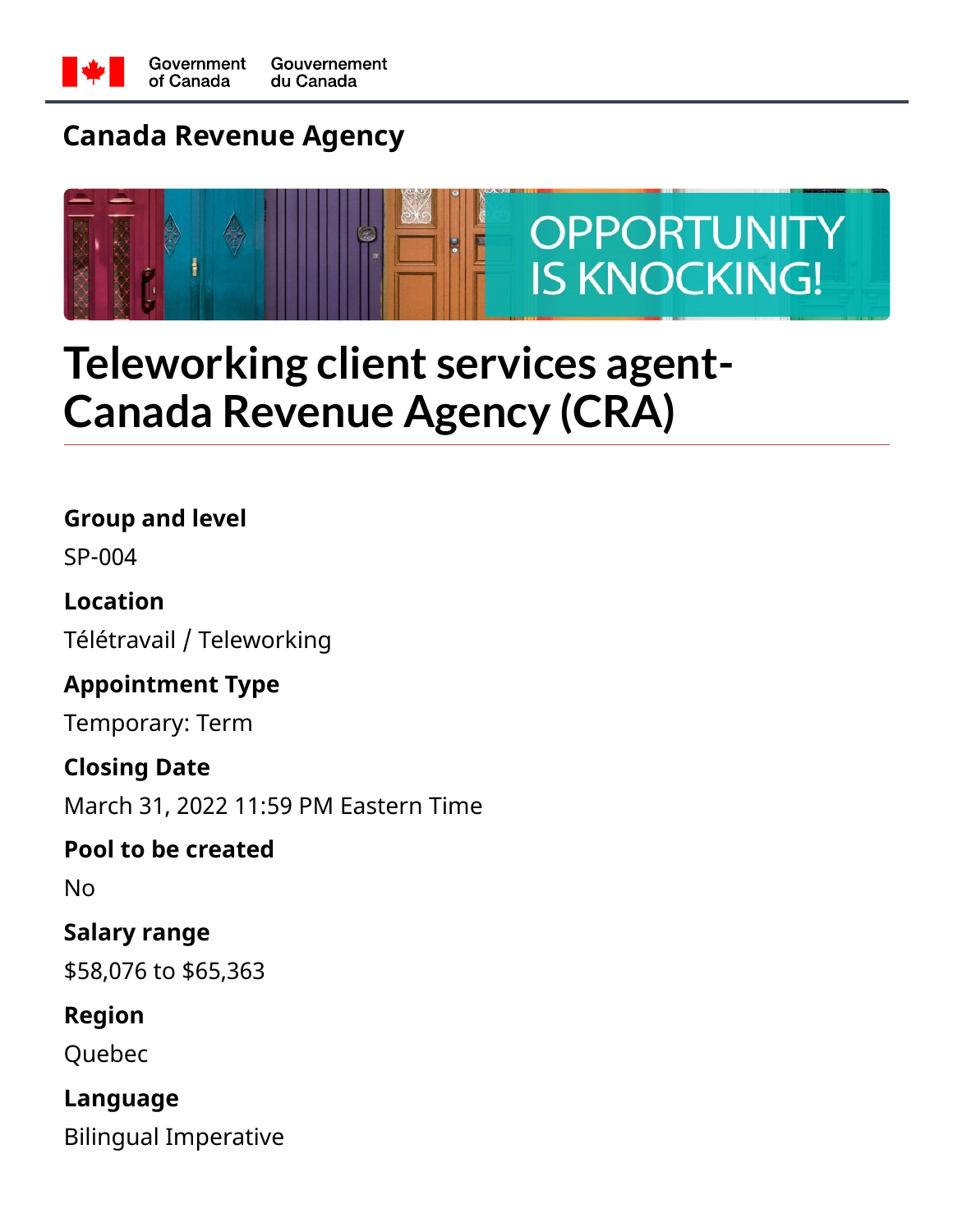

### **Canada Revenue Agency**



## **Teleworking client services agent-Canada Revenue Agency (CRA)**

**Group and level**

SP-004

**Location** Télétravail / Teleworking

**Appointment Type**

Temporary: Term

**Closing Date** March 31, 2022 11:59 PM Eastern Time

**Pool to be created**

No

**Salary range** \$58,076 to \$65,363

**Region**

Quebec

**Language** Bilingual Imperative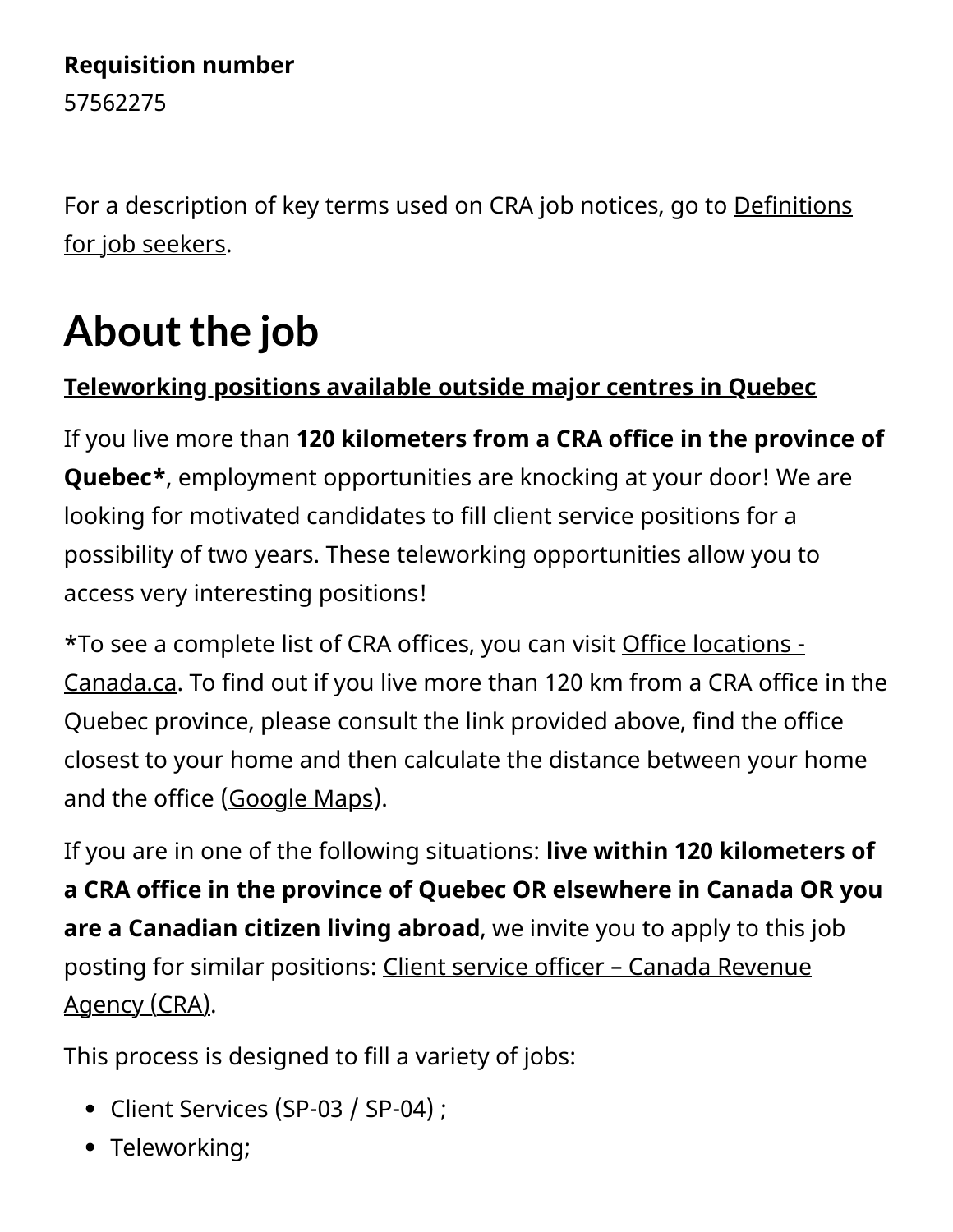#### **Requisition number**

57562275

[For a description of key terms used on CRA job notices, go to Definitions](https://www.canada.ca/en/revenue-agency/corporate/careers-cra/browse-job-types/definitions-job-seekers.html) for job seekers.

# About the job

### **Teleworking positions available outside major centres in Quebec**

If you live more than **120 kilometers from a CRA office in the province of Quebec\***, employment opportunities are knocking at your door! We are looking for motivated candidates to fill client service positions for a possibility of two years. These teleworking opportunities allow you to access very interesting positions!

[\\*To see a complete list of CRA offices, you can visit Office locations -](https://www.canada.ca/en/revenue-agency/corporate/contact-information/office-locations.html) Canada.ca. To find out if you live more than 120 km from a CRA office in the Quebec province, please consult the link provided above, find the office closest to your home and then calculate the distance between your home and the office ([Google Maps\)](https://www.google.ca/maps).

If you are in one of the following situations: **live within 120 kilometers of a CRA office in the province of Quebec OR elsewhere in Canada OR you are a Canadian citizen living abroad**, we invite you to apply to this job [posting for similar positions: Client service officer – Canada Revenue](https://careers-carrieres.cra-arc.gc.ca/gol-ged/wcis/pub/rtrvjbpst.action?pi=D06726B228B81EDC88D91DF74D45C0F6&request_locale=en_CA&rtrnlnk=) Agency (CRA).

This process is designed to fill a variety of jobs:

- Client Services (SP-03 / SP-04) ;
- Teleworking;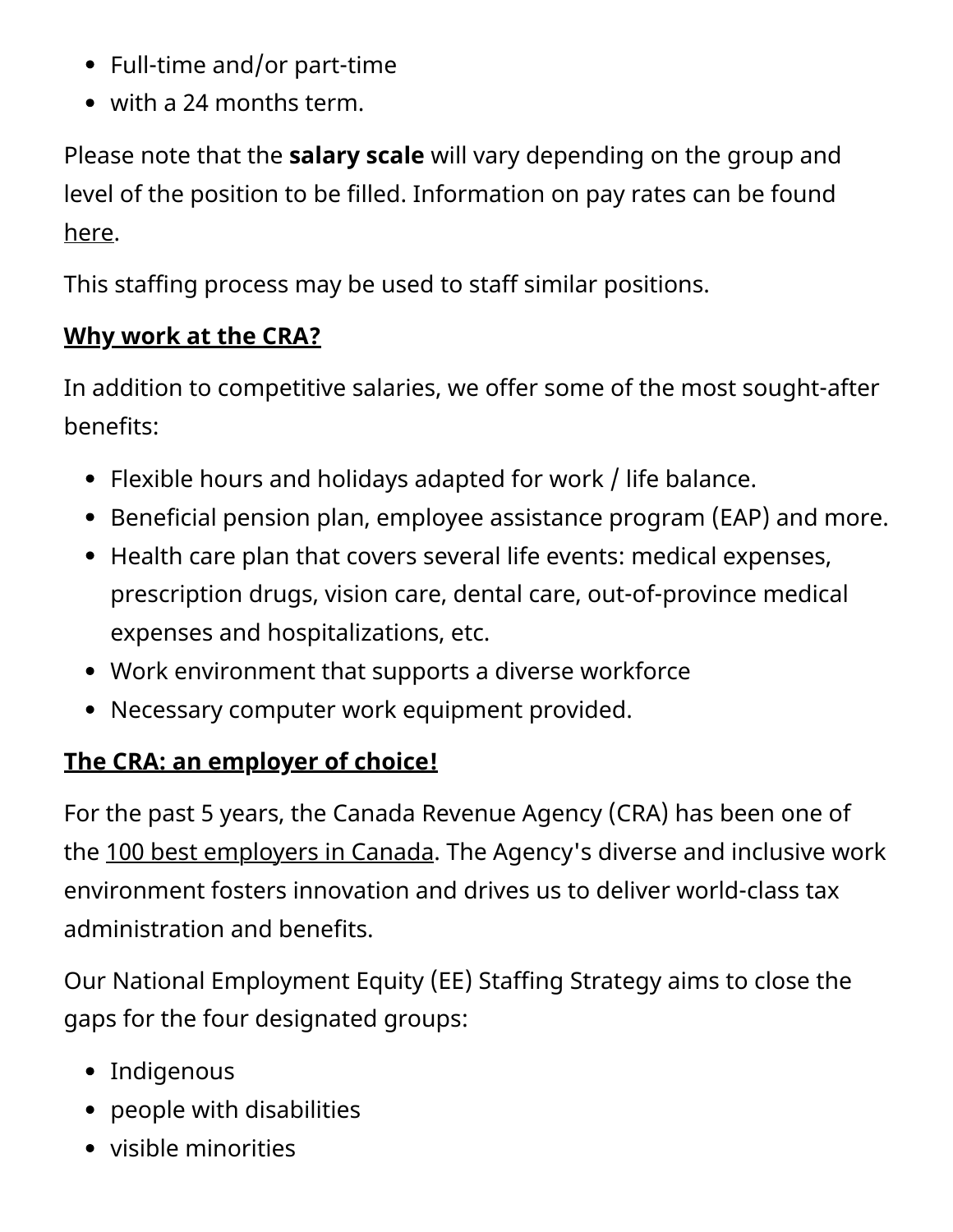- Full-time and/or part-time
- with a 24 months term.

Please note that the **salary scale** will vary depending on the group and level of the position to be filled. Information on pay rates can be found [here](https://www.canada.ca/en/revenue-agency/corporate/careers-cra/information-moved/pay-rates.html).

This staffing process may be used to staff similar positions.

#### **Why work at the CRA?**

In addition to competitive salaries, we offer some of the most sought-after benefits:

- Flexible hours and holidays adapted for work / life balance.
- Beneficial pension plan, employee assistance program (EAP) and more.
- Health care plan that covers several life events: medical expenses, prescription drugs, vision care, dental care, out-of-province medical expenses and hospitalizations, etc.
- Work environment that supports a diverse workforce
- Necessary computer work equipment provided.

### **The CRA: an employer of choice!**

For the past 5 years, the Canada Revenue Agency (CRA) has been one of the [100 best employers in Canada](https://www.canada.ca/en/revenue-agency/corporate/careers-cra/careers-cra-1-why-work-us.html). The Agency's diverse and inclusive work environment fosters innovation and drives us to deliver world-class tax administration and benefits.

Our National Employment Equity (EE) Staffing Strategy aims to close the gaps for the four designated groups:

- Indigenous
- people with disabilities
- visible minorities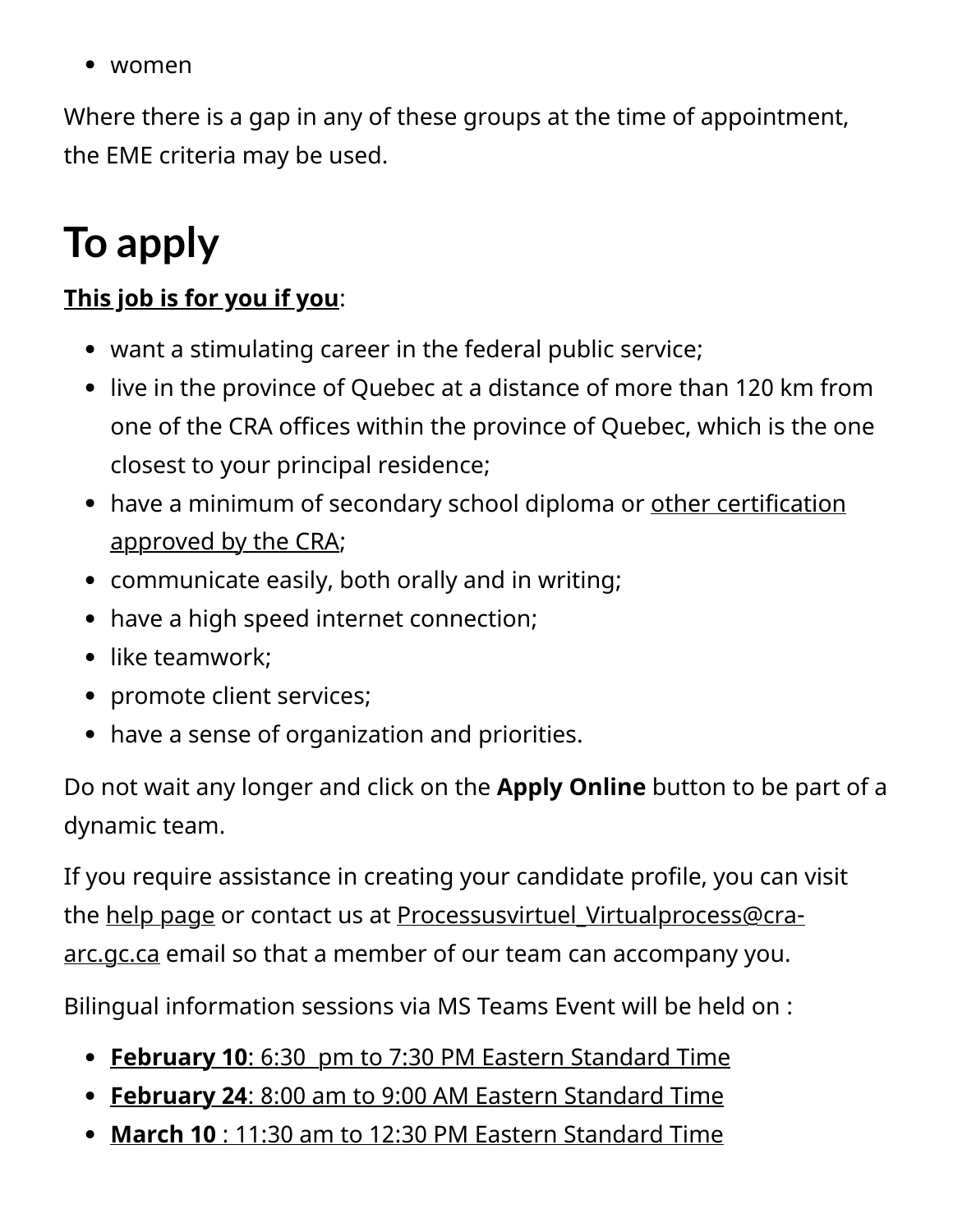• women

Where there is a gap in any of these groups at the time of appointment, the EME criteria may be used.

## **To apply**

#### **This job is for you if you**:

- want a stimulating career in the federal public service;
- live in the province of Quebec at a distance of more than 120 km from one of the CRA offices within the province of Quebec, which is the one closest to your principal residence;
- [have a minimum of secondary school diploma or other certification](https://www.canada.ca/en/revenue-agency/corporate/careers-cra/browse-job-types/cra-s-minimum-education-standards.html#craapprvd) approved by the CRA;
- communicate easily, both orally and in writing;
- have a high speed internet connection;
- like teamwork;
- promote client services;
- have a sense of organization and priorities.

Do not wait any longer and click on the **Apply Online** button to be part of a dynamic team.

If you require assistance in creating your candidate profile, you can visit the [help page](https://www.canada.ca/en/revenue-agency/corporate/careers-cra/browse-job-types/register-careers-cra.html) or contact us at Processusvirtuel Virtualprocess@cra[arc.gc.ca email so that a member of our team can accompany you.](mailto:Processusvirtuel_Virtualprocess@cra-arc.gc.ca?subject=Process%2057562275)

Bilingual information sessions via MS Teams Event will be held on :

- **February 10**[: 6:30 pm to 7:30 PM Eastern Standard Time](https://teams.microsoft.com/l/meetup-join/19%3ameeting_N2IwODQ0OTktZDM3Zi00YTJkLWI5NzMtNjgzNzNlNTM2N2M5%40thread.v2/0?context=%7b%22Tid%22%3a%224ca51fed-92c4-4f54-94c5-dcc41cbf1c9e%22%2c%22Oid%22%3a%227e1f18a6-e299-4f2b-8c61-ddb8c4c576fd%22%2c%22IsBroadcastMeeting%22%3atrue%7d&btype=a&role=a)
- **February 24**[: 8:00 am to 9:00 AM Eastern Standard Time](https://teams.microsoft.com/l/meetup-join/19%3ameeting_ZTk0ZmVhMDItOWEzNi00ZWU3LThiZDctYjJjZDM0MjI1ZGEy%40thread.v2/0?context=%7b%22Tid%22%3a%224ca51fed-92c4-4f54-94c5-dcc41cbf1c9e%22%2c%22Oid%22%3a%227e1f18a6-e299-4f2b-8c61-ddb8c4c576fd%22%2c%22IsBroadcastMeeting%22%3atrue%7d&btype=a&role=a)
- **March 10** [: 11:30 am to 12:30 PM Eastern Standard Time](https://teams.microsoft.com/l/meetup-join/19%3ameeting_ZjQzZjc2ODItNjg2NS00ZjJkLWI5ODMtOThlNGFlMmI3ODAz%40thread.v2/0?context=%7b%22Tid%22%3a%224ca51fed-92c4-4f54-94c5-dcc41cbf1c9e%22%2c%22Oid%22%3a%227e1f18a6-e299-4f2b-8c61-ddb8c4c576fd%22%2c%22IsBroadcastMeeting%22%3atrue%7d&btype=a&role=a)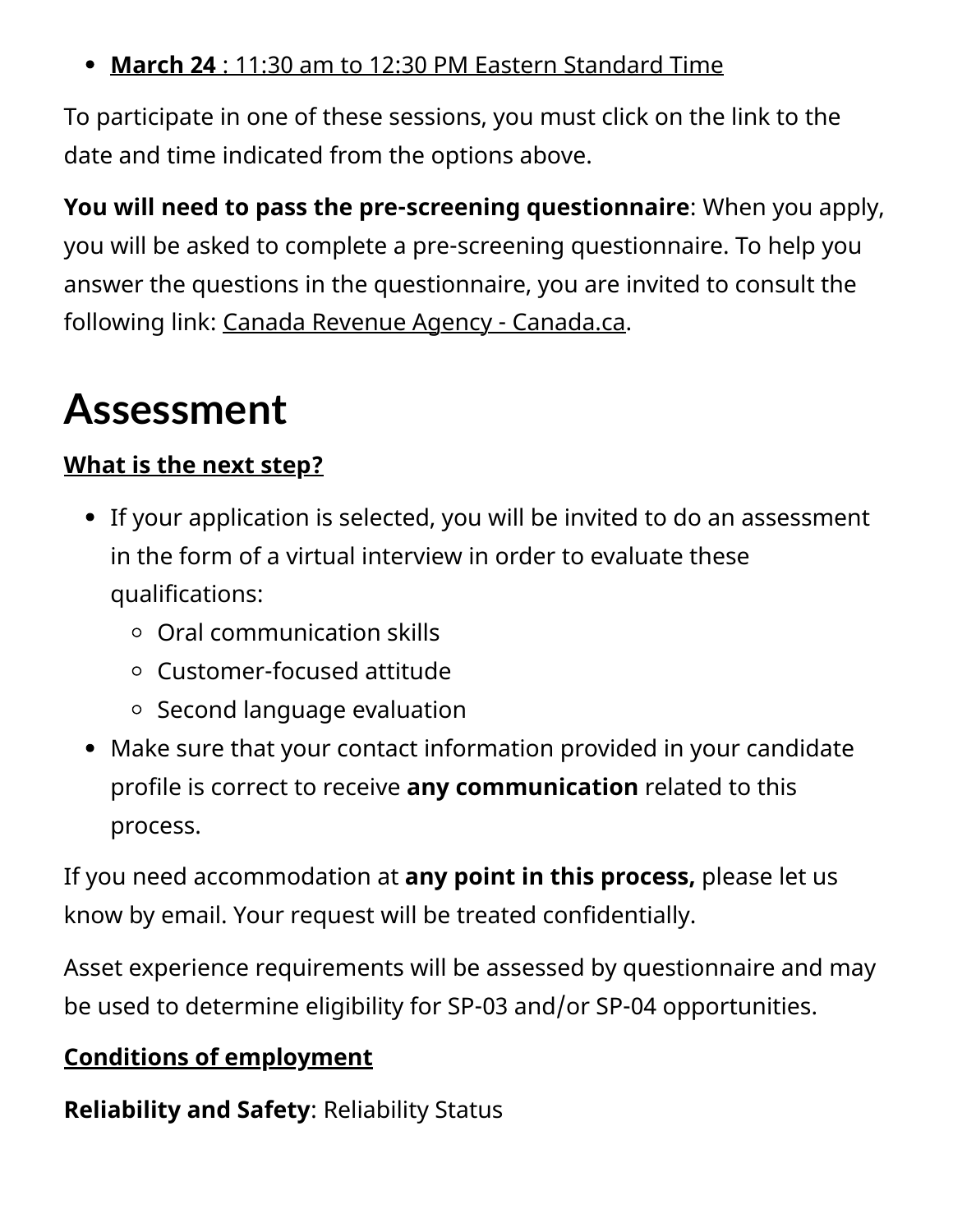**March 24** [: 11:30 am to 12:30 PM Eastern Standard Time](https://teams.microsoft.com/l/meetup-join/19%3ameeting_MWIzZTAyMGYtNzA4ZC00NWQ4LWJkZWMtZjJmMTEwYjIwZWJj%40thread.v2/0?context=%7b%22Tid%22%3a%224ca51fed-92c4-4f54-94c5-dcc41cbf1c9e%22%2c%22Oid%22%3a%227e1f18a6-e299-4f2b-8c61-ddb8c4c576fd%22%2c%22IsBroadcastMeeting%22%3atrue%7d&btype=a&role=a)

To participate in one of these sessions, you must click on the link to the date and time indicated from the options above.

**You will need to pass the pre-screening questionnaire**: When you apply, you will be asked to complete a pre-screening questionnaire. To help you answer the questions in the questionnaire, you are invited to consult the following link: [Canada Revenue Agency - Canada.ca.](https://www.canada.ca/en/revenue-agency.html)

## **Assessment**

### **What is the next step?**

- If your application is selected, you will be invited to do an assessment in the form of a virtual interview in order to evaluate these qualifications:
	- Oral communication skills
	- Customer-focused attitude
	- $\circ$  Second language evaluation
- Make sure that your contact information provided in your candidate profile is correct to receive **any communication** related to this process.

If you need accommodation at **any point in this process,** please let us know by email. Your request will be treated confidentially.

Asset experience requirements will be assessed by questionnaire and may be used to determine eligibility for SP-03 and/or SP-04 opportunities.

### **Conditions of employment**

**Reliability and Safety**: Reliability Status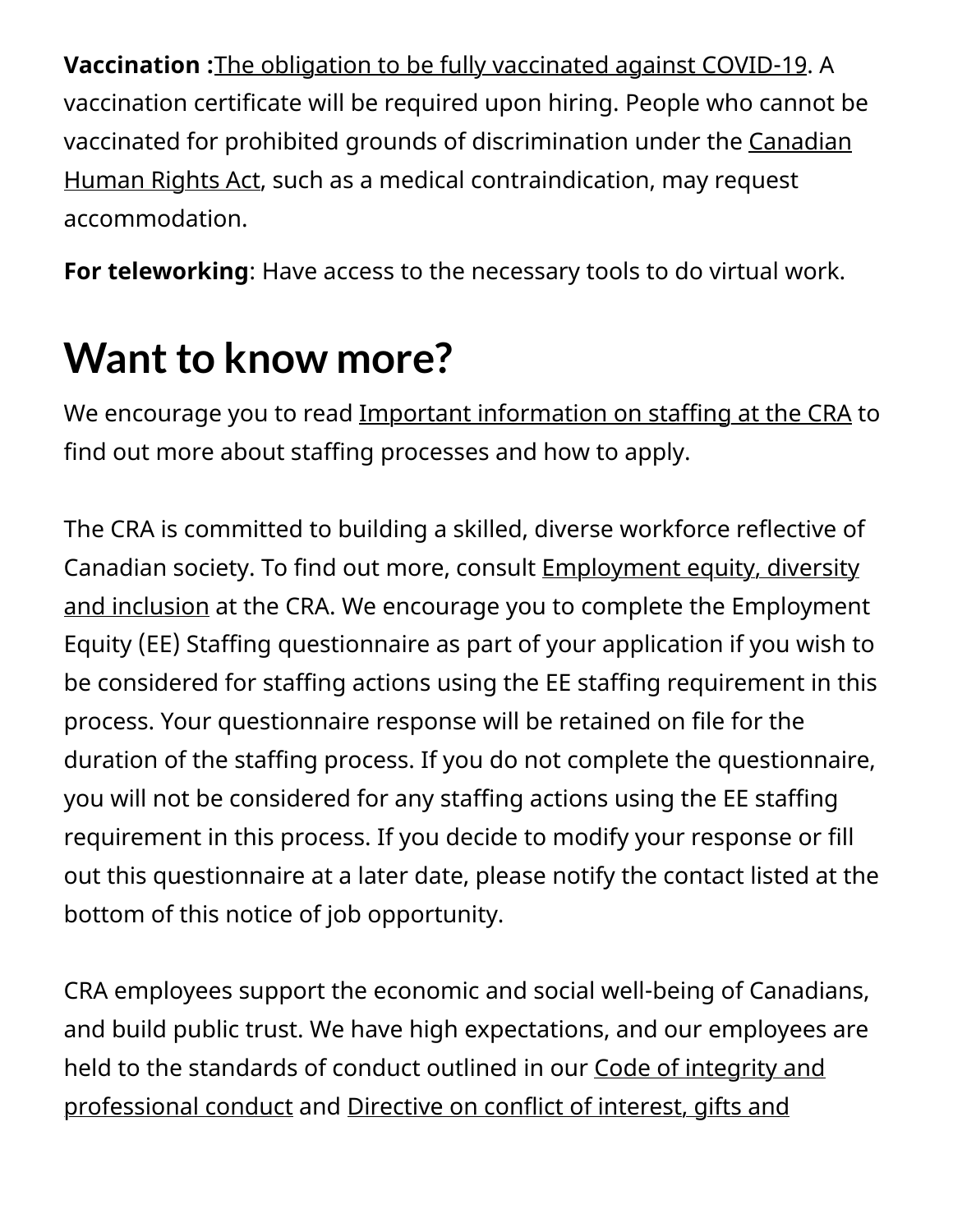**Vaccination :**[The obligation to be fully vaccinated against COVID-19.](https://www.canada.ca/en/treasury-board-secretariat/news/2021/10/backgrounder-covid-19-vaccine-requirement-for-the-federal-workforce.html) A vaccination certificate will be required upon hiring. People who cannot be [vaccinated for prohibited grounds of discrimination under the Canadian](https://laws-lois.justice.gc.ca/eng/acts/h-6/) Human Rights Act, such as a medical contraindication, may request accommodation.

**For teleworking**: Have access to the necessary tools to do virtual work.

## **Want to know more?**

We encourage you to read [Important information on staffing at the CRA](https://www.canada.ca/en/revenue-agency/corporate/careers-cra/browse-job-types/general-information-on-staffing-cra-formerly-called-tips-applying-online.html) to find out more about staffing processes and how to apply.

The CRA is committed to building a skilled, diverse workforce reflective of Canadian society. To find out more, consult **Employment equity, diversity** and inclusion at the CRA. We encourage you to complete the Employment Equity (EE) Staffing questionnaire as part of your application if you wish to be considered for staffing actions using the EE staffing requirement in this process. Your questionnaire response will be retained on file for the duration of the staffing process. If you do not complete the questionnaire, you will not be considered for any staffing actions using the EE staffing requirement in this process. If you decide to modify your response or fill out this questionnaire at a later date, please notify the contact listed at the bottom of this notice of job opportunity.

CRA employees support the economic and social well-being of Canadians, and build public trust. We have high expectations, and our employees are [held to the standards of conduct outlined in our Code of integrity and](https://www.canada.ca/en/revenue-agency/corporate/careers-cra/information-moved/code-integrity-professional-conduct-we-work.html) [professional conduct and Directive on conflict of interest, gifts and](https://www.canada.ca/en/revenue-agency/corporate/careers-cra/information-moved/directive-on-conflict-interest-gifts-hospitality-post-employment.html)